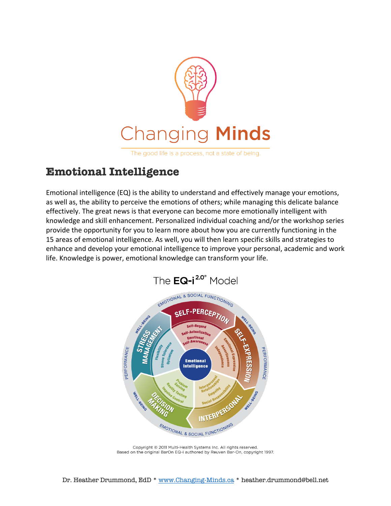

The good life is a process, not a state of being.

# **Emotional Intelligence**

Emotional intelligence (EQ) is the ability to understand and effectively manage your emotions, as well as, the ability to perceive the emotions of others; while managing this delicate balance effectively. The great news is that everyone can become more emotionally intelligent with knowledge and skill enhancement. Personalized individual coaching and/or the workshop series provide the opportunity for you to learn more about how you are currently functioning in the 15 areas of emotional intelligence. As well, you will then learn specific skills and strategies to enhance and develop your emotional intelligence to improve your personal, academic and work life. Knowledge is power, emotional knowledge can transform your life.



Copyright © 2011 Multi-Health Systems Inc. All rights reserved. Based on the original BarOn EQ-i authored by Reuven Bar-On, copyright 1997.